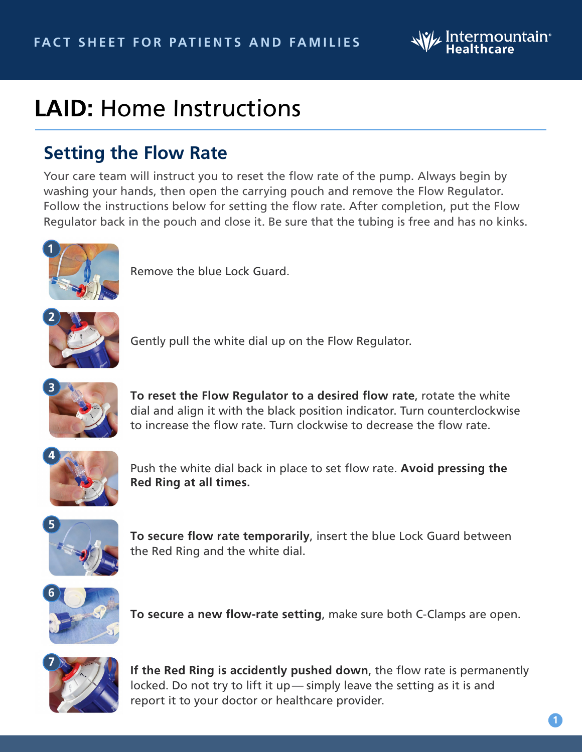

## **LAID:** Home Instructions

## **Setting the Flow Rate**

Your care team will instruct you to reset the flow rate of the pump. Always begin by washing your hands, then open the carrying pouch and remove the Flow Regulator. Follow the instructions below for setting the flow rate. After completion, put the Flow Regulator back in the pouch and close it. Be sure that the tubing is free and has no kinks.



Remove the blue Lock Guard.



Gently pull the white dial up on the Flow Regulator.



**To reset the Flow Regulator to a desired flow rate**, rotate the white dial and align it with the black position indicator. Turn counterclockwise to increase the flow rate. Turn clockwise to decrease the flow rate.



Push the white dial back in place to set flow rate. **Avoid pressing the Red Ring at all times.**



**To secure flow rate temporarily**, insert the blue Lock Guard between the Red Ring and the white dial.



**To secure a new flow-rate setting**, make sure both C-Clamps are open.



**If the Red Ring is accidently pushed down**, the flow rate is permanently locked. Do not try to lift it up— simply leave the setting as it is and report it to your doctor or healthcare provider.